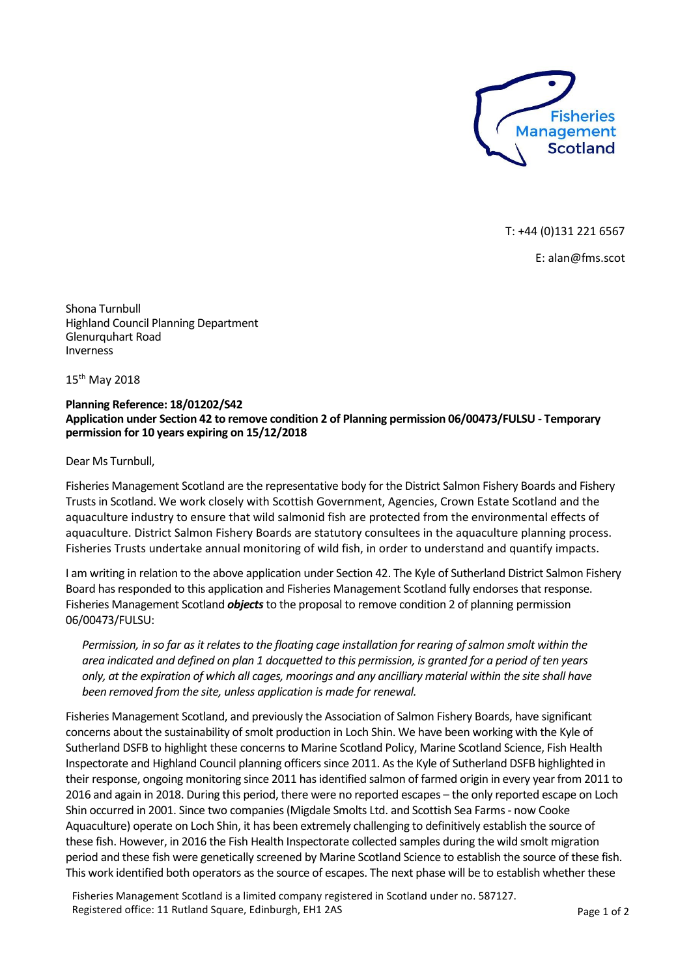

T: +44 (0)131 221 6567

E: alan@fms.scot

Shona Turnbull Highland Council Planning Department Glenurquhart Road Inverness

15th May 2018

## **Planning Reference: 18/01202/S42 Application under Section 42 to remove condition 2 of Planning permission 06/00473/FULSU - Temporary permission for 10 years expiring on 15/12/2018**

Dear Ms Turnbull,

Fisheries Management Scotland are the representative body for the District Salmon Fishery Boards and Fishery Trusts in Scotland. We work closely with Scottish Government, Agencies, Crown Estate Scotland and the aquaculture industry to ensure that wild salmonid fish are protected from the environmental effects of aquaculture. District Salmon Fishery Boards are statutory consultees in the aquaculture planning process. Fisheries Trusts undertake annual monitoring of wild fish, in order to understand and quantify impacts.

I am writing in relation to the above application under Section 42. The Kyle of Sutherland District Salmon Fishery Board has responded to this application and Fisheries Management Scotland fully endorsesthat response. Fisheries Management Scotland *objects*to the proposal to remove condition 2 of planning permission 06/00473/FULSU:

*Permission, in so far as it relates to the floating cage installation for rearing of salmon smolt within the area indicated and defined on plan 1 docquetted to this permission, is granted for a period of ten years only, at the expiration of which all cages, moorings and any ancilliary material within the site shall have been removed from the site, unless application is made for renewal.*

Fisheries Management Scotland, and previously the Association of Salmon Fishery Boards, have significant concerns about the sustainability of smolt production in Loch Shin. We have been working with the Kyle of Sutherland DSFB to highlight these concerns to Marine Scotland Policy, Marine Scotland Science, Fish Health Inspectorate and Highland Council planning officers since 2011. As the Kyle of Sutherland DSFB highlighted in their response, ongoing monitoring since 2011 has identified salmon of farmed origin in every year from 2011 to 2016 and again in 2018. During this period, there were no reported escapes – the only reported escape on Loch Shin occurred in 2001. Since two companies (Migdale Smolts Ltd. and Scottish Sea Farms - now Cooke Aquaculture) operate on Loch Shin, it has been extremely challenging to definitively establish the source of these fish. However, in 2016 the Fish Health Inspectorate collected samples during the wild smolt migration period and these fish were genetically screened by Marine Scotland Science to establish the source of these fish. This work identified both operators as the source of escapes. The next phase will be to establish whether these

Fisheries Management Scotland is a limited company registered in Scotland under no. 587127. Registered office: 11 Rutland Square, Edinburgh, EH1 2AS Page 1 of 2